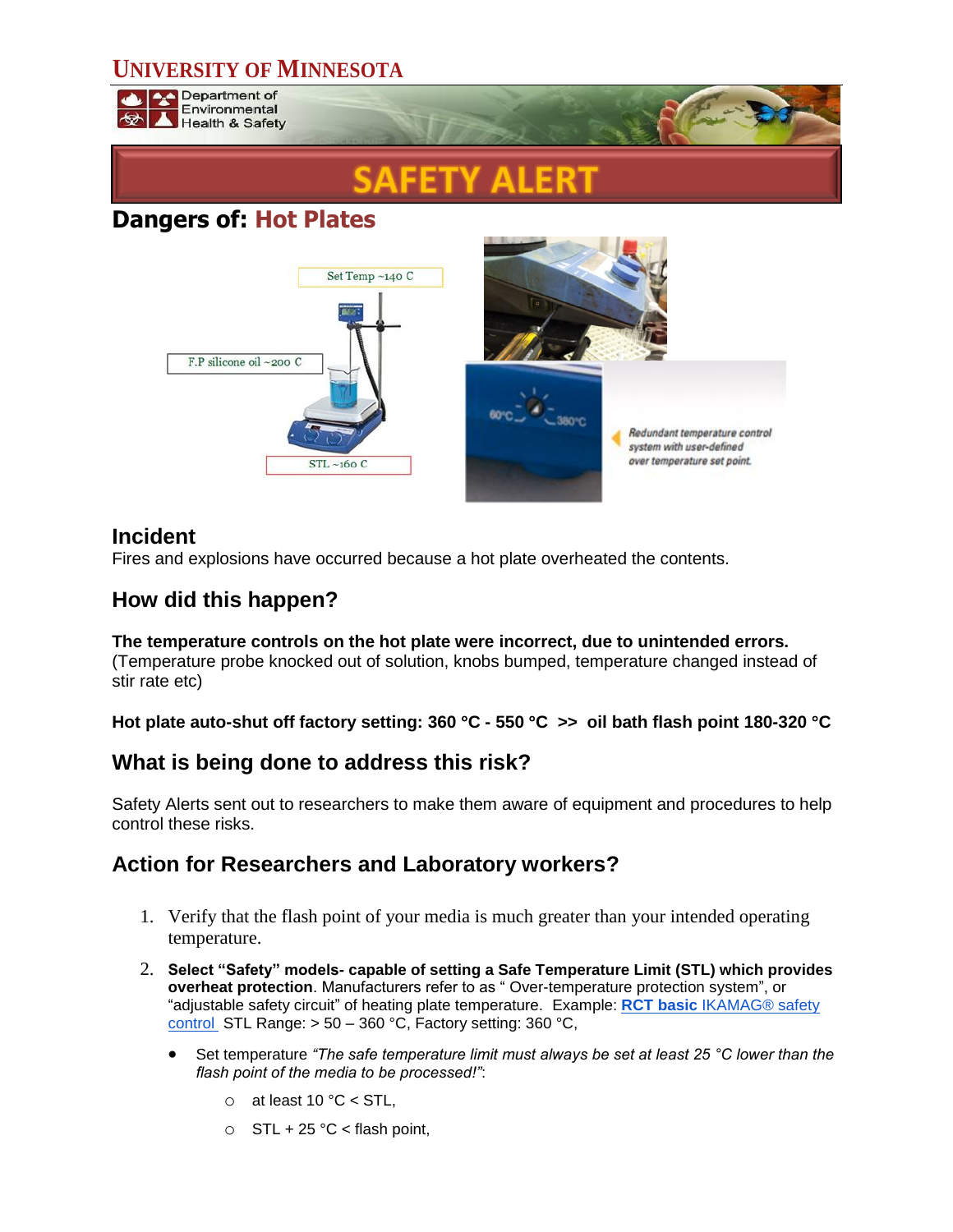# **UNIVERSITY OF MINNESOTA**

Department of Environmental **Health & Safety** 

# **Dangers of: Hot Plates**



## **Incident**

Fires and explosions have occurred because a hot plate overheated the contents.

## **How did this happen?**

# **The temperature controls on the hot plate were incorrect, due to unintended errors.**

(Temperature probe knocked out of solution, knobs bumped, temperature changed instead of stir rate etc)

**Hot plate auto-shut off factory setting: 360 C - 550 C >> oil bath flash point 180-320 C**

## **What is being done to address this risk?**

Safety Alerts sent out to researchers to make them aware of equipment and procedures to help control these risks.

## **Action for Researchers and Laboratory workers?**

- 1. Verify that the flash point of your media is much greater than your intended operating temperature.
- 2. **Select "Safety" models- capable of setting a Safe Temperature Limit (STL) which provides overheat protection**. Manufacturers refer to as " Over-temperature protection system", or "adjustable safety circuit" of heating plate temperature. Example: **RCT basic** [IKAMAG® safety](http://www.ika.com/owa/ika/catalog.product_detail?iProduct=3810000)  [control](http://www.ika.com/owa/ika/catalog.product_detail?iProduct=3810000) STL Range: > 50 – 360 °C, Factory setting: 360 °C,
	- Set temperature *"The safe temperature limit must always be set at least 25 °C lower than the flash point of the media to be processed!"*:
		- $\circ$  at least 10 °C < STL,
		- $\circ$  STL + 25 °C < flash point,